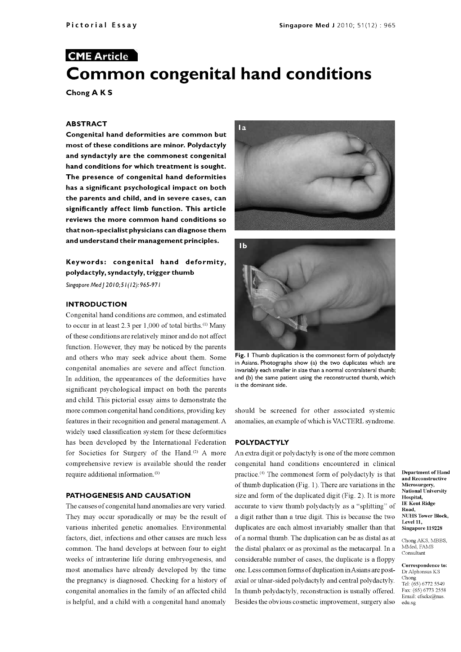# CME Article Common congenital hand conditions

Chong A K <sup>S</sup>

#### ABSTRACT

Congenital hand deformities are common but most of these conditions are minor. Polydactyly and syndactyly are the commonest congenital hand conditions for which treatment is sought. The presence of congenital hand deformities has a significant psychological impact on both the parents and child, and in severe cases, can significantly affect limb function. This article reviews the more common hand conditions so that non -specialist physicians can diagnose them and understand their management principles.

## Keywords: congenital hand deformity, polydactyly, syndactyly, trigger thumb

Singapore Med | 2010; 51(12): 965-971

#### INTRODUCTION

Congenital hand conditions are common, and estimated to occur in at least 2.3 per  $1,000$  of total births.<sup>(1)</sup> Many of these conditions are relatively minor and do not affect function. However, they may be noticed by the parents and others who may seek advice about them. Some congenital anomalies are severe and affect function. In addition, the appearances of the deformities have significant psychological impact on both the parents and child. This pictorial essay aims to demonstrate the more common congenital hand conditions, providing key features in their recognition and general management. A widely used classification system for these deformities has been developed by the International Federation for Societies for Surgery of the Hand.<sup>(2)</sup> A more comprehensive review is available should the reader require additional information. (3)

#### PATHOGENESIS AND CAUSATION

They may occur sporadically or may be the result of various inherited genetic anomalies. Environmental factors, diet, infections and other causes are much less common. The hand develops at between four to eight weeks of intrauterine life during embryogenesis, and most anomalies have already developed by the time the pregnancy is diagnosed. Checking for a history of congenital anomalies in the family of an affected child is helpful, and a child with a congenital hand anomaly





Fig. I Thumb duplication is the commonest form of polydactyly in Asians. Photographs show (a) the two duplicates which are invariably each smaller in size than a normal contralateral thumb; and (b) the same patient using the reconstructed thumb, which is the dominant side.

should be screened for other associated systemic anomalies, an example of which is VACTERL syndrome.

#### POLYDACTYLY

The causes of congenital hand anomalies are very varied. accurate to view thumb polydactyly as a "splitting" of An extra digit or polydactyly is one of the more common congenital hand conditions encountered in clinical practice.(') The commonest form of polydactyly is that of thumb duplication (Fig. 1). There are variations in the size and form of the duplicated digit (Fig. 2). It is more a digit rather than a true digit. This is because the two duplicates are each almost invariably smaller than that of a normal thumb. The duplication can be as distal as at the distal phalanx or as proximal as the metacarpal. In a considerable number of cases, the duplicate is a floppy one. Less common forms of duplication inAsians are post axial or ulnar-sided polydactyly and central polydactyly.  $\frac{\text{Chong}}{\text{Tel} \cdot (65) 6772 5549}$ In thumb polydactyly, reconstruction is usually offered. Fax:  $(65)$  6773 2558 Besides the obvious cosmetic improvement, surgery also

Department of Hand and Reconstructive Microsurgery, National University Hospital, IE Kent Ridge Road, NUHS Tower Block, Level 11, Singapore 119228

Chong AKS, MBBS, MMed, FAMS Consultant

Correspondence to: Dr Alphonsus KS Chong Email: cfscks@nus. edu sg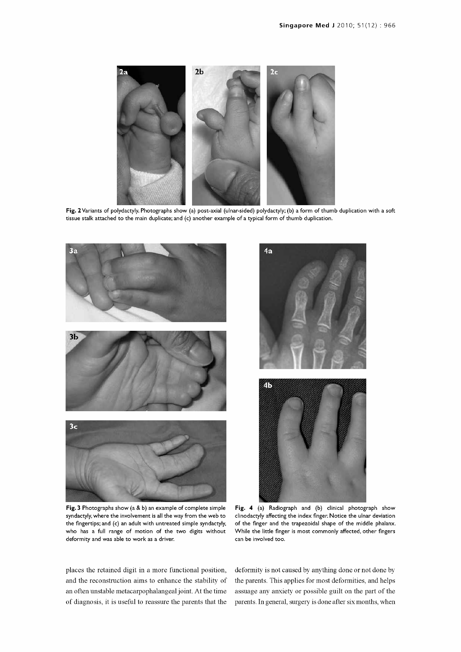

Fig. 2 Variants of polydactyly. Photographs show (a) post-axial (ulnar-sided) polydactyly; (b) a form of thumb duplication with a soft tissue stalk attached to the main duplicate; and (c) another example of a typical form of thumb duplication.



Fig. 3 Photographs show (a & b) an example of complete simple syndactyly, where the involvement is all the way from the web to the fingertips; and (c) an adult with untreated simple syndactyly, who has a full range of motion of the two digits without deformity and was able to work as a driver.



Fig. 4 (a) Radiograph and (b) clinical photograph show clinodactyly affecting the index finger. Notice the ulnar deviation of the finger and the trapezoidal shape of the middle phalanx. While the little finger is most commonly affected, other fingers can be involved too.

places the retained digit in a more functional position, and the reconstruction aims to enhance the stability of an often unstable metacarpophalangeal joint. At the time of diagnosis, it is useful to reassure the parents that the deformity is not caused by anything done or not done by the parents. This applies for most deformities, and helps assuage any anxiety or possible guilt on the part of the parents. In general, surgery is done after six months, when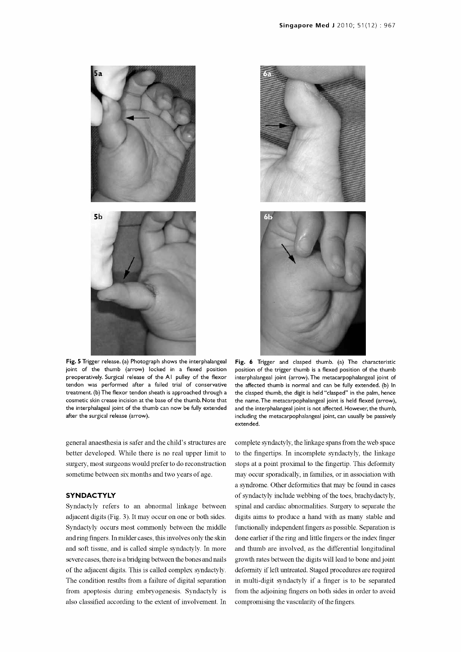

Fig. 5 Trigger release. (a) Photograph shows the interphalangeal joint of the thumb (arrow) locked in a flexed position preoperatively. Surgical release of the Al pulley of the flexor tendon was performed after a failed trial of conservative treatment. (b) The flexor tendon sheath is approached through a cosmetic skin crease incision at the base of the thumb. Note that the interphalageal joint of the thumb can now be fully extended after the surgical release (arrow).

general anaesthesia is safer and the child's structures are better developed. While there is no real upper limit to surgery, most surgeons would prefer to do reconstruction sometime between six months and two years of age.

#### **SYNDACTYLY**

Syndactyly refers to an abnormal linkage between adjacent digits (Fig. 3). It may occur on one or both sides. Syndactyly occurs most commonly between the middle and ring fingers. In milder cases, this involves only the skin and soft tissue, and is called simple syndactyly. In more severe cases, there is abridging between the bones and nails of the adjacent digits. This is called complex syndactyly. The condition results from a failure of digital separation from apoptosis during embryogenesis. Syndactyly is also classified according to the extent of involvement. In



Fig. 6 Trigger and clasped thumb. (a) The characteristic position of the trigger thumb is a flexed position of the thumb interphalangeal joint (arrow). The metacarpophalangeal joint of the affected thumb is normal and can be fully extended. (b) In the clasped thumb, the digit is held "clasped" in the palm, hence the name. The metacarpophalangeal joint is held flexed (arrow), and the interphalangeal joint is not affected. However, the thumb, including the metacarpophalangeal joint, can usually be passively extended.

complete syndactyly, the linkage spans from the web space to the fingertips. In incomplete syndactyly, the linkage stops at a point proximal to the fingertip. This deformity may occur sporadically, in families, or in association with a syndrome. Other deformities that may be found in cases of syndactyly include webbing of the toes, brachydactyly, spinal and cardiac abnormalities. Surgery to separate the digits aims to produce a hand with as many stable and functionally independent fingers as possible. Separation is done earlier if the ring and little fingers or the index finger and thumb are involved, as the differential longitudinal growth rates between the digits will lead to bone and joint deformity if left untreated. Staged procedures are required in multi -digit syndactyly if a finger is to be separated from the adjoining fingers on both sides in order to avoid compromising the vascularity of the fingers.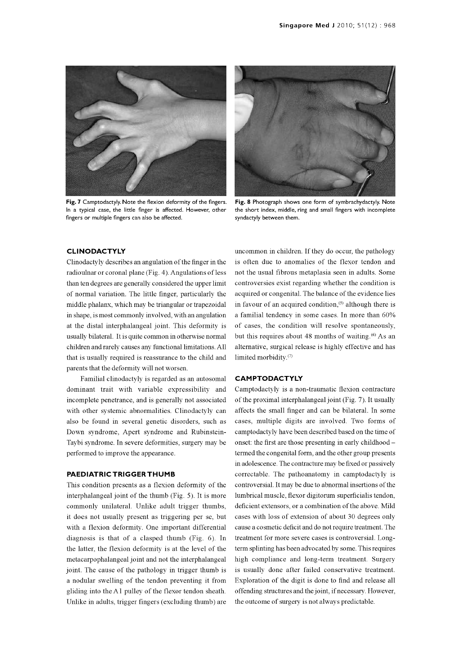

Fig. 7 Camptodactyly. Note the flexion deformity of the fingers. In a typical case, the little finger is affected. However, other fingers or multiple fingers can also be affected.



Fig. 8 Photograph shows one form of symbrachydactyly. Note the short index, middle, ring and small fingers with incomplete syndactyly between them.

#### CLINODACTYLY

Clinodactyly describes an angulation of the finger in the radioulnar or coronal plane (Fig. 4). Angulations of less than ten degrees are generally considered the upper limit of normal variation. The little finger, particularly the middle phalanx, which may be triangular or trapezoidal in favour of an acquired condition.<sup>(5)</sup> although there is in shape, is most commonly involved, with an angulation at the distal interphalangeal joint. This deformity is usually bilateral. It is quite common in otherwise normal but this requires about 48 months of waiting.<sup>66</sup> As an children and rarely causes any functional limitations. All that is usually required is reassurance to the child and parents that the deformity will not worsen. Familial clinodactyly is regarded as an autosomal

dominant trait with variable expressibility and incomplete penetrance, and is generally not associated with other systemic abnormalities. Clinodactyly can also be found in several genetic disorders, such as Down syndrome, Apert syndrome and Rubinstein-Taybi syndrome. In severe deformities, surgery may be performed to improve the appearance.

#### PAEDIATRIC TRIGGER THUMB

This condition presents as a flexion deformity of the interphalangeal joint of the thumb (Fig. 5). It is more lumbrical muscle, flexor digitorum superficialis tendon, commonly unilateral. Unlike adult trigger thumbs, deficient extensors, or a combination of the above. Mild it does not usually present as triggering per se, but cases with loss of extension of about 30 degrees only with a flexion deformity. One important differential diagnosis is that of a clasped thumb (Fig. 6). In the latter, the flexion deformity is at the level of the metacarpophalangeal joint and not the interphalangeal joint. The cause of the pathology in trigger thumb is a nodular swelling of the tendon preventing it from gliding into the Al pulley of the flexor tendon sheath. Unlike in adults, trigger fingers (excluding thumb) are

uncommon in children. If they do occur, the pathology is often due to anomalies of the flexor tendon and not the usual fibrous metaplasia seen in adults. Some controversies exist regarding whether the condition is acquired or congenital. The balance of the evidence lies a familial tendency in some cases. In more than 60% of cases, the condition will resolve spontaneously, alternative, surgical release is highly effective and has limited morbidity.(')

#### **CAMPTODACTYLY**

Camptodactyly is a non -traumatic flexion contracture of the proximal interphalangeal joint (Fig. 7). It usually affects the small finger and can be bilateral. In some cases, multiple digits are involved. Two forms of camptodactyly have been described based on the time of onset: the first are those presenting in early childhood termed the congenital form, and the other group presents in adolescence. The contracture may be fixed or passively correctable. The pathoanatomy in camptodactyly is controversial. It may be due to abnormal insertions of the lumbrical muscle, flexor digitorum superficialis tendon, cause a cosmetic deficit and do not require treatment. The treatment for more severe cases is controversial. Longterm splinting has been advocated by some. This requires high compliance and long-term treatment. Surgery is usually done after failed conservative treatment. Exploration of the digit is done to find and release all offending structures and the joint, if necessary. However, the outcome of surgery is not always predictable.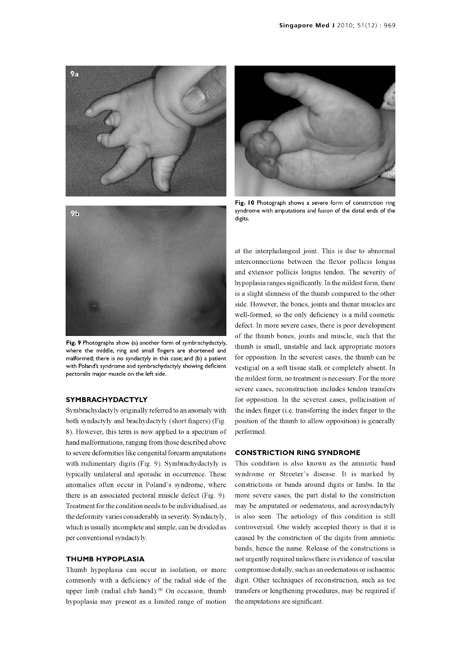

Fig. 9 Photographs show (a) another form of symbrachydactyly, where the middle, ring and small fingers are shortened and malformed; there is no syndactyly in this case; and (b) a patient with Poland's syndrome and symbrachydactyly showing deficient pectoralis major muscle on the left side.

#### SYMBRACHYDACTYLY

Symbrachydactyly originally referred to an anomaly with both syndactyly and brachydactyly (short fingers) (Fig. 8). However, this term is now applied to a spectrum of hand malformations, ranging from those described above to severe deformities like congenital forearm amputations with rudimentary digits (Fig. 9). Symbrachydactyly is typically unilateral and sporadic in occurrence. These anomalies often occur in Poland's syndrome, where constrictions or bands around digits or limbs. In the there is an associated pectoral muscle defect (Fig. 9). Treatment for the condition needs to be individualised, as the deformity varies considerably in severity. Syndactyly, which is usually incomplete and simple, can be divided as per conventional syndactyly.

#### THUMB HYPOPLASIA

Thumb hypoplasia can occur in isolation, or more commonly with a deficiency of the radial side of the upper limb (radial club hand). $(8)$  On occasion, thumb hypoplasia may present as a limited range of motion



Fig. 10 Photograph shows a severe form of constriction ring syndrome with amputations and fusion of the distal ends of the digits.

at the interphalangeal joint. This is due to abnormal interconnections between the flexor pollicis longus and extensor pollicis longus tendon. The severity of hypoplasia ranges significantly. In the mildest form, there is a slight slimness of the thumb compared to the other side. However, the bones, joints and thenar muscles are well-formed, so the only deficiency is a mild cosmetic defect. In more severe cases, there is poor development of the thumb bones, joints and muscle, such that the thumb is small, unstable and lack appropriate motors for opposition. In the severest cases, the thumb can be vestigial on a soft tissue stalk or completely absent. In the mildest form, no treatment is necessary. For the more severe cases, reconstruction includes tendon transfers for opposition. In the severest cases, pollicisation of the index finger (i.e. transferring the index finger to the position of the thumb to allow opposition) is generally performed.

#### CONSTRICTION RING SYNDROME

This condition is also known as the amniotic band syndrome or Streeter's disease. It is marked by more severe cases, the part distal to the constriction may be amputated or oedematous, and acrosyndactyly is also seen. The aetiology of this condition is still controversial. One widely accepted theory is that it is caused by the constriction of the digits from amniotic bands, hence the name. Release of the constrictions is not urgently required unless there is evidence of vascular compromise distally, such as an oedematous or ischaemic digit. Other techniques of reconstruction, such as toe transfers or lengthening procedures, may be required if the amputations are significant.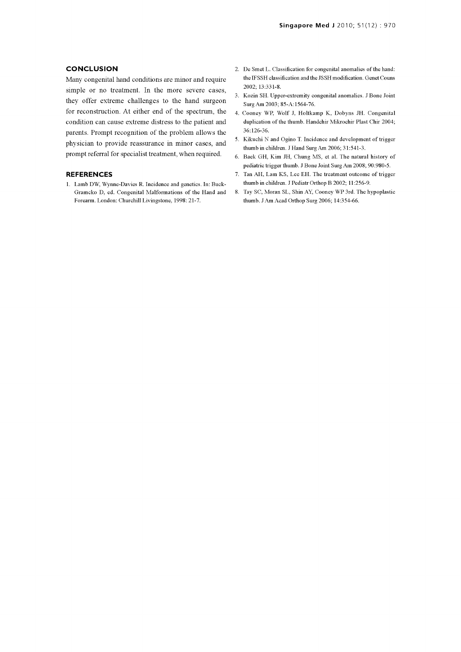#### **CONCLUSION**

Many congenital hand conditions are minor and require simple or no treatment. In the more severe cases, they offer extreme challenges to the hand surgeon for reconstruction. At either end of the spectrum, the condition can cause extreme distress to the patient and parents. Prompt recognition of the problem allows the physician to provide reassurance in minor cases, and prompt referral for specialist treatment, when required.

#### REFERENCES

1. Lamb DW, Wynne -Davies R. Incidence and genetics. In: Buck-Gramcko D, ed. Congenital Malformations of the Hand and Forearm. London: Churchill Livingstone, 1998: 21-7.

- 2. De Smet L. Classification for congenital anomalies of the hand: the IF SSH classification and the JSSH modification. Genet Couns 2002; 13:331-8.
- 3. Kozin SH. Upper -extremity congenital anomalies. J Bone Joint Surg Am 2003; 85-A:1564-76.
- 4. Cooney WP, Wolf J, Holtkamp K, Dobyns JH. Congenital duplication of the thumb. Handchir Mikrochir Plast Chir 2004; 36:126-36.
- 5. Kikuchi N and Ogino T. Incidence and development of trigger thumb in children. J Hand Surg Am 2006; 31:541-3.
- 6. Baek GH, Kim JH, Chung MS, et al. The natural history of pediatric trigger thumb. J Bone Joint Surg Am 2008; 90:980-5.
- 7. Tan AH, Lam KS, Lee EH. The treatment outcome of trigger thumb in children. J Pediatr Orthop B 2002; 11:256-9.
- 8. Tay SC, Moran SL, Shin AY, Cooney WP 3rd. The hypoplastic thumb. J Am Acad Orthop Surg 2006; 14:354-66.